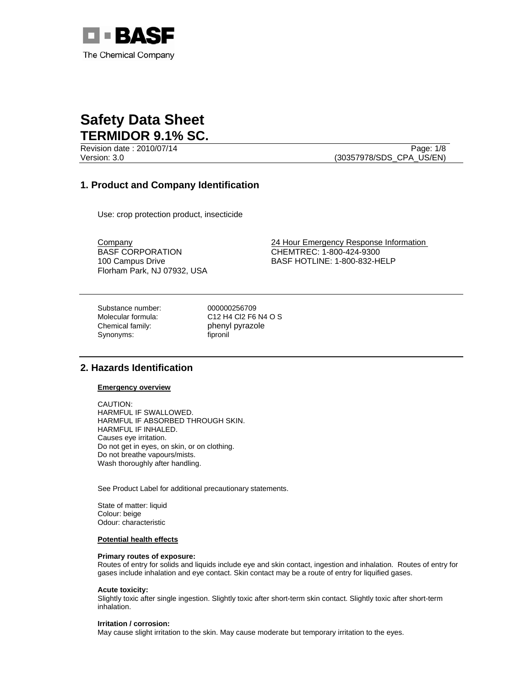

Revision date : 2010/07/14 Page: 1/8 Version: 3.0 (30357978/SDS\_CPA\_US/EN)

# **1. Product and Company Identification**

Use: crop protection product, insecticide

BASF CORPORATION 100 Campus Drive Florham Park, NJ 07932, USA

Company 24 Hour Emergency Response Information CHEMTREC: 1-800-424-9300 BASF HOTLINE: 1-800-832-HELP

Substance number: 000000256709 Chemical family: phenyl pyrazole<br>
Synonyms: fipronil Synonyms:

Molecular formula: C12 H4 Cl2 F6 N4 O S

# **2. Hazards Identification**

## **Emergency overview**

CAUTION: HARMFUL IF SWALLOWED. HARMFUL IF ABSORBED THROUGH SKIN. HARMFUL IF INHALED. Causes eye irritation. Do not get in eyes, on skin, or on clothing. Do not breathe vapours/mists. Wash thoroughly after handling.

See Product Label for additional precautionary statements.

State of matter: liquid Colour: beige Odour: characteristic

## **Potential health effects**

#### **Primary routes of exposure:**

Routes of entry for solids and liquids include eye and skin contact, ingestion and inhalation. Routes of entry for gases include inhalation and eye contact. Skin contact may be a route of entry for liquified gases.

#### **Acute toxicity:**

Slightly toxic after single ingestion. Slightly toxic after short-term skin contact. Slightly toxic after short-term inhalation.

### **Irritation / corrosion:**

May cause slight irritation to the skin. May cause moderate but temporary irritation to the eyes.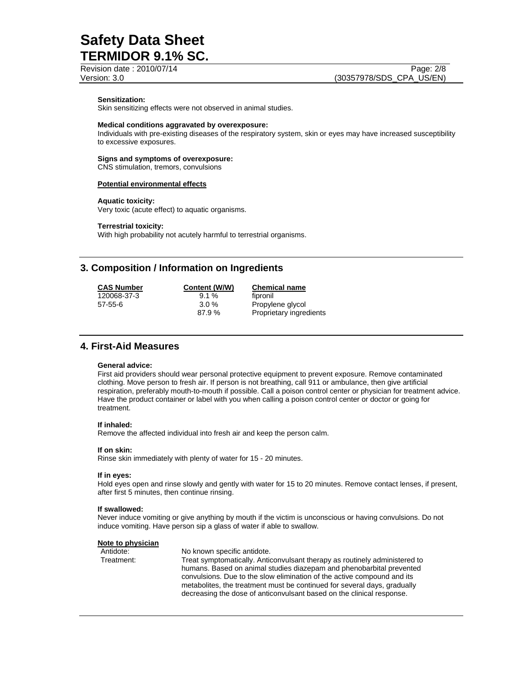Revision date : 2010/07/14 Page: 2/8

## **Sensitization:**

Skin sensitizing effects were not observed in animal studies.

#### **Medical conditions aggravated by overexposure:**

Individuals with pre-existing diseases of the respiratory system, skin or eyes may have increased susceptibility to excessive exposures.

#### **Signs and symptoms of overexposure:**

CNS stimulation, tremors, convulsions

#### **Potential environmental effects**

#### **Aquatic toxicity:**

Very toxic (acute effect) to aquatic organisms.

#### **Terrestrial toxicity:**

With high probability not acutely harmful to terrestrial organisms.

# **3. Composition / Information on Ingredients**

| <b>CAS Number</b> |
|-------------------|
| 120068-37-3       |
| 57-55-6           |

9.1 % fipronil<br>3.0 % Propyle

**Content (W/W) Chemical name**<br>9.1 % **Content Content** Propylene glycol 87.9 % Proprietary ingredients

# **4. First-Aid Measures**

## **General advice:**

First aid providers should wear personal protective equipment to prevent exposure. Remove contaminated clothing. Move person to fresh air. If person is not breathing, call 911 or ambulance, then give artificial respiration, preferably mouth-to-mouth if possible. Call a poison control center or physician for treatment advice. Have the product container or label with you when calling a poison control center or doctor or going for treatment.

#### **If inhaled:**

Remove the affected individual into fresh air and keep the person calm.

#### **If on skin:**

Rinse skin immediately with plenty of water for 15 - 20 minutes.

#### **If in eyes:**

Hold eyes open and rinse slowly and gently with water for 15 to 20 minutes. Remove contact lenses, if present, after first 5 minutes, then continue rinsing.

#### **If swallowed:**

Never induce vomiting or give anything by mouth if the victim is unconscious or having convulsions. Do not induce vomiting. Have person sip a glass of water if able to swallow.

#### **Note to physician**

Antidote: No known specific antidote.

Treatment: Treat symptomatically. Anticonvulsant therapy as routinely administered to humans. Based on animal studies diazepam and phenobarbital prevented convulsions. Due to the slow elimination of the active compound and its metabolites, the treatment must be continued for several days, gradually decreasing the dose of anticonvulsant based on the clinical response.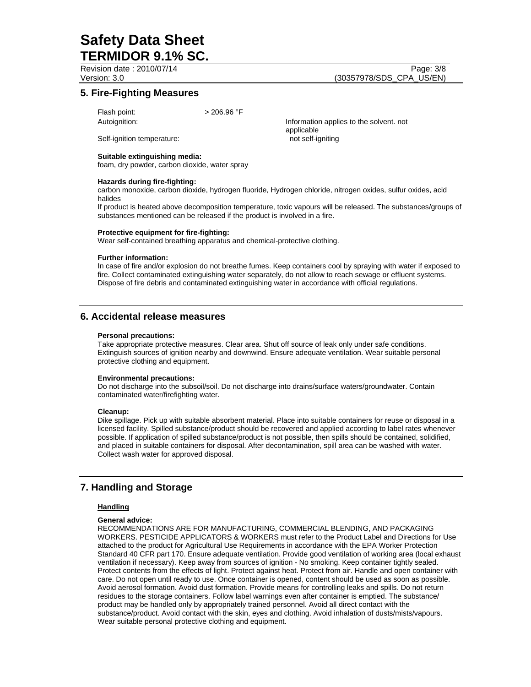Revision date : 2010/07/14 Page: 3/8

Version: 3.0 (30357978/SDS\_CPA\_US/EN)

# **5. Fire-Fighting Measures**

Flash point:  $> 206.96 °F$ 

Autoignition: Information applies to the solvent. not applicable Self-ignition temperature: not self-igniting

## **Suitable extinguishing media:**

foam, dry powder, carbon dioxide, water spray

#### **Hazards during fire-fighting:**

carbon monoxide, carbon dioxide, hydrogen fluoride, Hydrogen chloride, nitrogen oxides, sulfur oxides, acid halides

If product is heated above decomposition temperature, toxic vapours will be released. The substances/groups of substances mentioned can be released if the product is involved in a fire.

#### **Protective equipment for fire-fighting:**

Wear self-contained breathing apparatus and chemical-protective clothing.

#### **Further information:**

In case of fire and/or explosion do not breathe fumes. Keep containers cool by spraying with water if exposed to fire. Collect contaminated extinguishing water separately, do not allow to reach sewage or effluent systems. Dispose of fire debris and contaminated extinguishing water in accordance with official regulations.

# **6. Accidental release measures**

#### **Personal precautions:**

Take appropriate protective measures. Clear area. Shut off source of leak only under safe conditions. Extinguish sources of ignition nearby and downwind. Ensure adequate ventilation. Wear suitable personal protective clothing and equipment.

## **Environmental precautions:**

Do not discharge into the subsoil/soil. Do not discharge into drains/surface waters/groundwater. Contain contaminated water/firefighting water.

#### **Cleanup:**

Dike spillage. Pick up with suitable absorbent material. Place into suitable containers for reuse or disposal in a licensed facility. Spilled substance/product should be recovered and applied according to label rates whenever possible. If application of spilled substance/product is not possible, then spills should be contained, solidified, and placed in suitable containers for disposal. After decontamination, spill area can be washed with water. Collect wash water for approved disposal.

# **7. Handling and Storage**

## **Handling**

#### **General advice:**

RECOMMENDATIONS ARE FOR MANUFACTURING, COMMERCIAL BLENDING, AND PACKAGING WORKERS. PESTICIDE APPLICATORS & WORKERS must refer to the Product Label and Directions for Use attached to the product for Agricultural Use Requirements in accordance with the EPA Worker Protection Standard 40 CFR part 170. Ensure adequate ventilation. Provide good ventilation of working area (local exhaust ventilation if necessary). Keep away from sources of ignition - No smoking. Keep container tightly sealed. Protect contents from the effects of light. Protect against heat. Protect from air. Handle and open container with care. Do not open until ready to use. Once container is opened, content should be used as soon as possible. Avoid aerosol formation. Avoid dust formation. Provide means for controlling leaks and spills. Do not return residues to the storage containers. Follow label warnings even after container is emptied. The substance/ product may be handled only by appropriately trained personnel. Avoid all direct contact with the substance/product. Avoid contact with the skin, eyes and clothing. Avoid inhalation of dusts/mists/vapours. Wear suitable personal protective clothing and equipment.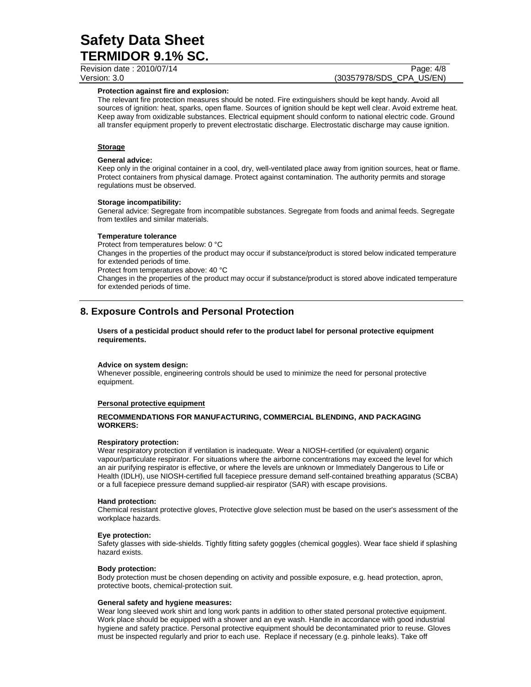Revision date : 2010/07/14 Page: 4/8

# Version: 3.0 (30357978/SDS\_CPA\_US/EN)

### **Protection against fire and explosion:**

The relevant fire protection measures should be noted. Fire extinguishers should be kept handy. Avoid all sources of ignition: heat, sparks, open flame. Sources of ignition should be kept well clear. Avoid extreme heat. Keep away from oxidizable substances. Electrical equipment should conform to national electric code. Ground all transfer equipment properly to prevent electrostatic discharge. Electrostatic discharge may cause ignition.

## **Storage**

### **General advice:**

Keep only in the original container in a cool, dry, well-ventilated place away from ignition sources, heat or flame. Protect containers from physical damage. Protect against contamination. The authority permits and storage regulations must be observed.

### **Storage incompatibility:**

General advice: Segregate from incompatible substances. Segregate from foods and animal feeds. Segregate from textiles and similar materials.

#### **Temperature tolerance**

Protect from temperatures below: 0 °C

Changes in the properties of the product may occur if substance/product is stored below indicated temperature for extended periods of time.

Protect from temperatures above: 40 °C

Changes in the properties of the product may occur if substance/product is stored above indicated temperature for extended periods of time.

# **8. Exposure Controls and Personal Protection**

**Users of a pesticidal product should refer to the product label for personal protective equipment requirements.** 

#### **Advice on system design:**

Whenever possible, engineering controls should be used to minimize the need for personal protective equipment.

## **Personal protective equipment**

## **RECOMMENDATIONS FOR MANUFACTURING, COMMERCIAL BLENDING, AND PACKAGING WORKERS:**

#### **Respiratory protection:**

Wear respiratory protection if ventilation is inadequate. Wear a NIOSH-certified (or equivalent) organic vapour/particulate respirator. For situations where the airborne concentrations may exceed the level for which an air purifying respirator is effective, or where the levels are unknown or Immediately Dangerous to Life or Health (IDLH), use NIOSH-certified full facepiece pressure demand self-contained breathing apparatus (SCBA) or a full facepiece pressure demand supplied-air respirator (SAR) with escape provisions.

#### **Hand protection:**

Chemical resistant protective gloves, Protective glove selection must be based on the user's assessment of the workplace hazards.

## **Eye protection:**

Safety glasses with side-shields. Tightly fitting safety goggles (chemical goggles). Wear face shield if splashing hazard exists.

## **Body protection:**

Body protection must be chosen depending on activity and possible exposure, e.g. head protection, apron, protective boots, chemical-protection suit.

#### **General safety and hygiene measures:**

Wear long sleeved work shirt and long work pants in addition to other stated personal protective equipment. Work place should be equipped with a shower and an eye wash. Handle in accordance with good industrial hygiene and safety practice. Personal protective equipment should be decontaminated prior to reuse. Gloves must be inspected regularly and prior to each use. Replace if necessary (e.g. pinhole leaks). Take off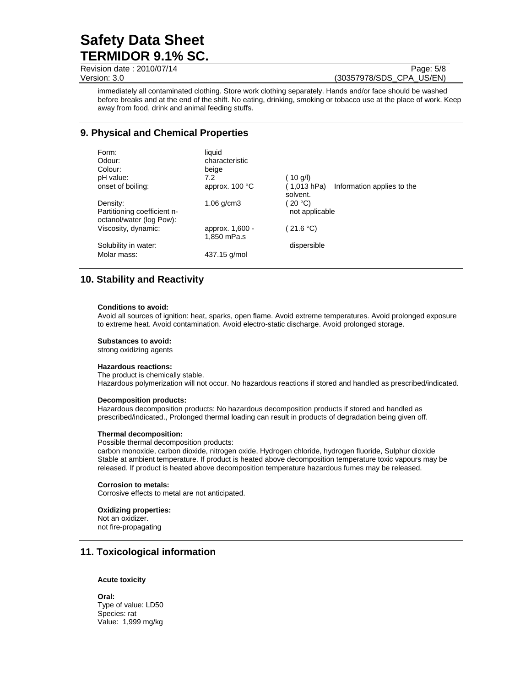Revision date : 2010/07/14 Page: 5/8

Version: 3.0 **(30357978/SDS\_CPA\_US/EN)** 

immediately all contaminated clothing. Store work clothing separately. Hands and/or face should be washed before breaks and at the end of the shift. No eating, drinking, smoking or tobacco use at the place of work. Keep away from food, drink and animal feeding stuffs.

# **9. Physical and Chemical Properties**

| Form:<br>Odour:<br>Colour:<br>pH value:                             | liquid<br>characteristic<br>beige<br>7.2 | (10 g/l)                                              |
|---------------------------------------------------------------------|------------------------------------------|-------------------------------------------------------|
| onset of boiling:                                                   | approx. $100 °C$                         | (1,013 hPa)<br>Information applies to the<br>solvent. |
| Density:<br>Partitioning coefficient n-<br>octanol/water (log Pow): | $1.06$ g/cm $3$                          | 20 °C<br>not applicable                               |
| Viscosity, dynamic:                                                 | approx. 1,600 -<br>1,850 mPa.s           | (21.6 °C)                                             |
| Solubility in water:                                                |                                          | dispersible                                           |
| Molar mass:                                                         | 437.15 g/mol                             |                                                       |

# **10. Stability and Reactivity**

#### **Conditions to avoid:**

Avoid all sources of ignition: heat, sparks, open flame. Avoid extreme temperatures. Avoid prolonged exposure to extreme heat. Avoid contamination. Avoid electro-static discharge. Avoid prolonged storage.

#### **Substances to avoid:**

strong oxidizing agents

#### **Hazardous reactions:**

The product is chemically stable. Hazardous polymerization will not occur. No hazardous reactions if stored and handled as prescribed/indicated.

#### **Decomposition products:**

Hazardous decomposition products: No hazardous decomposition products if stored and handled as prescribed/indicated., Prolonged thermal loading can result in products of degradation being given off.

#### **Thermal decomposition:**

Possible thermal decomposition products:

carbon monoxide, carbon dioxide, nitrogen oxide, Hydrogen chloride, hydrogen fluoride, Sulphur dioxide Stable at ambient temperature. If product is heated above decomposition temperature toxic vapours may be released. If product is heated above decomposition temperature hazardous fumes may be released.

#### **Corrosion to metals:**

Corrosive effects to metal are not anticipated.

#### **Oxidizing properties:**

Not an oxidizer. not fire-propagating

# **11. Toxicological information**

## **Acute toxicity**

**Oral:** Type of value: LD50 Species: rat Value: 1,999 mg/kg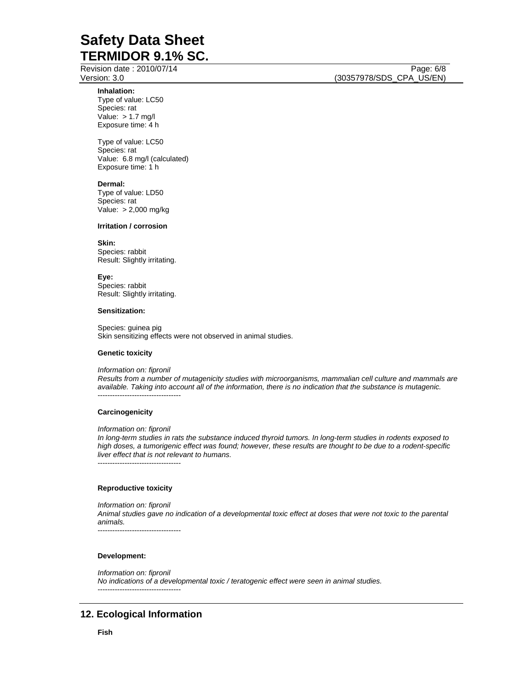Revision date : 2010/07/14 Page: 6/8

**Inhalation:** 

Type of value: LC50 Species: rat Value: > 1.7 mg/l Exposure time: 4 h

Type of value: LC50 Species: rat Value: 6.8 mg/l (calculated) Exposure time: 1 h

#### **Dermal:**

Type of value: LD50 Species: rat Value: > 2,000 mg/kg

#### **Irritation / corrosion**

## **Skin:**

Species: rabbit Result: Slightly irritating.

#### **Eye:**

Species: rabbit Result: Slightly irritating.

#### **Sensitization:**

Species: guinea pig Skin sensitizing effects were not observed in animal studies.

#### **Genetic toxicity**

*Information on: fipronil* 

*Results from a number of mutagenicity studies with microorganisms, mammalian cell culture and mammals are available. Taking into account all of the information, there is no indication that the substance is mutagenic.*  ----------------------------------

#### **Carcinogenicity**

#### *Information on: fipronil*

*In long-term studies in rats the substance induced thyroid tumors. In long-term studies in rodents exposed to high doses, a tumorigenic effect was found; however, these results are thought to be due to a rodent-specific liver effect that is not relevant to humans.* 

----------------------------------

#### **Reproductive toxicity**

*Information on: fipronil Animal studies gave no indication of a developmental toxic effect at doses that were not toxic to the parental animals.* 

----------------------------------

#### **Development:**

*Information on: fipronil No indications of a developmental toxic / teratogenic effect were seen in animal studies.*  ----------------------------------

# **12. Ecological Information**

Version: 3.0 **(30357978/SDS\_CPA\_US/EN)**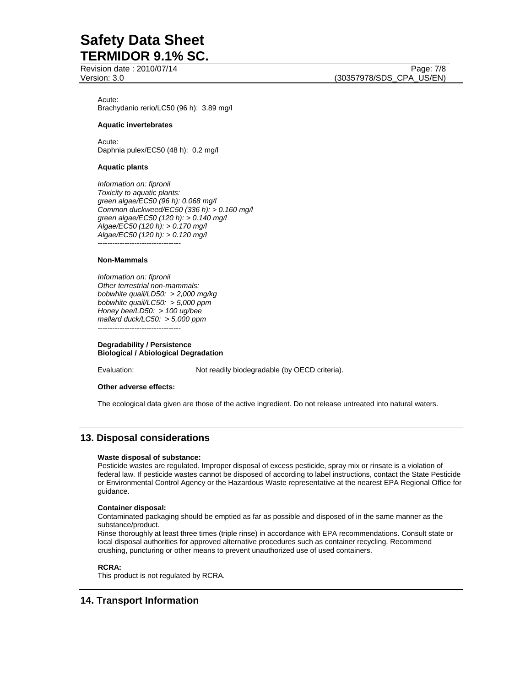Revision date : 2010/07/14 Page: 7/8

Acute: Brachydanio rerio/LC50 (96 h): 3.89 mg/l

## **Aquatic invertebrates**

Acute: Daphnia pulex/EC50 (48 h): 0.2 mg/l

## **Aquatic plants**

*Information on: fipronil Toxicity to aquatic plants: green algae/EC50 (96 h): 0.068 mg/l Common duckweed/EC50 (336 h): > 0.160 mg/l green algae/EC50 (120 h): > 0.140 mg/l Algae/EC50 (120 h): > 0.170 mg/l Algae/EC50 (120 h): > 0.120 mg/l*  ----------------------------------

## **Non-Mammals**

*Information on: fipronil Other terrestrial non-mammals: bobwhite quail/LD50: > 2,000 mg/kg bobwhite quail/LC50: > 5,000 ppm Honey bee/LD50: > 100 ug/bee mallard duck/LC50: > 5,000 ppm*  ----------------------------------

#### **Degradability / Persistence Biological / Abiological Degradation**

Evaluation: Not readily biodegradable (by OECD criteria).

## **Other adverse effects:**

The ecological data given are those of the active ingredient. Do not release untreated into natural waters.

# **13. Disposal considerations**

## **Waste disposal of substance:**

Pesticide wastes are regulated. Improper disposal of excess pesticide, spray mix or rinsate is a violation of federal law. If pesticide wastes cannot be disposed of according to label instructions, contact the State Pesticide or Environmental Control Agency or the Hazardous Waste representative at the nearest EPA Regional Office for guidance.

## **Container disposal:**

Contaminated packaging should be emptied as far as possible and disposed of in the same manner as the substance/product.

Rinse thoroughly at least three times (triple rinse) in accordance with EPA recommendations. Consult state or local disposal authorities for approved alternative procedures such as container recycling. Recommend crushing, puncturing or other means to prevent unauthorized use of used containers.

## **RCRA:**

This product is not regulated by RCRA.

# **14. Transport Information**